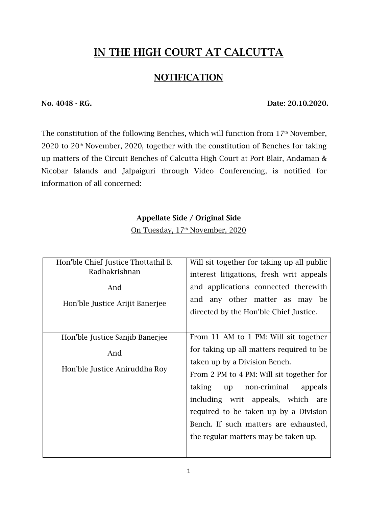# **IN THE HIGH COURT AT CALCUTTA**

#### **NOTIFICATION**

**No. 4048 - RG. Date: 20.10.2020.**

The constitution of the following Benches, which will function from  $17<sup>th</sup>$  November,  $2020$  to  $20<sup>th</sup>$  November, 2020, together with the constitution of Benches for taking up matters of the Circuit Benches of Calcutta High Court at Port Blair, Andaman & Nicobar Islands and Jalpaiguri through Video Conferencing, is notified for information of all concerned:

#### **Appellate Side / Original Side**

On Tuesday, 17<sup>th</sup> November, 2020

| Hon'ble Chief Justice Thottathil B.<br>Radhakrishnan<br>And<br>Hon'ble Justice Arijit Banerjee | Will sit together for taking up all public<br>interest litigations, fresh writ appeals<br>and applications connected therewith<br>and any other matter as may be<br>directed by the Hon'ble Chief Justice.                                                                                                                                                            |
|------------------------------------------------------------------------------------------------|-----------------------------------------------------------------------------------------------------------------------------------------------------------------------------------------------------------------------------------------------------------------------------------------------------------------------------------------------------------------------|
| Hon'ble Justice Sanjib Banerjee<br>And<br>Hon'ble Justice Aniruddha Roy                        | From 11 AM to 1 PM: Will sit together<br>for taking up all matters required to be<br>taken up by a Division Bench.<br>From 2 PM to 4 PM: Will sit together for<br>taking<br>up non-criminal<br>appeals<br>including writ appeals, which are<br>required to be taken up by a Division<br>Bench. If such matters are exhausted,<br>the regular matters may be taken up. |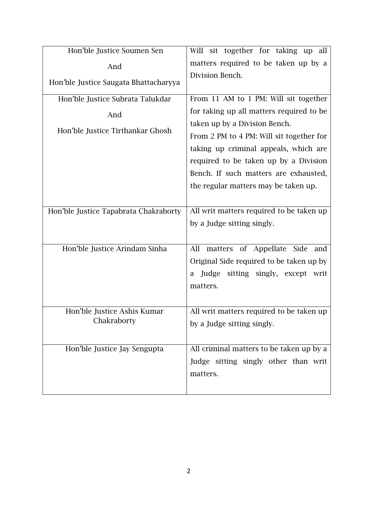| Hon'ble Justice Soumen Sen                 | Will sit together for taking up all      |
|--------------------------------------------|------------------------------------------|
| And                                        | matters required to be taken up by a     |
| Hon'ble Justice Saugata Bhattacharyya      | Division Bench.                          |
| Hon'ble Justice Subrata Talukdar           | From 11 AM to 1 PM: Will sit together    |
| And                                        | for taking up all matters required to be |
| Hon'ble Justice Tirthankar Ghosh           | taken up by a Division Bench.            |
|                                            | From 2 PM to 4 PM: Will sit together for |
|                                            | taking up criminal appeals, which are    |
|                                            | required to be taken up by a Division    |
|                                            | Bench. If such matters are exhausted,    |
|                                            | the regular matters may be taken up.     |
|                                            |                                          |
| Hon'ble Justice Tapabrata Chakraborty      | All writ matters required to be taken up |
|                                            | by a Judge sitting singly.               |
|                                            |                                          |
| Hon'ble Justice Arindam Sinha              | matters of Appellate Side<br>All<br>and  |
|                                            | Original Side required to be taken up by |
|                                            | Judge sitting singly, except writ<br>a   |
|                                            | matters.                                 |
|                                            |                                          |
| Hon'ble Justice Ashis Kumar<br>Chakraborty | All writ matters required to be taken up |
|                                            | by a Judge sitting singly.               |
|                                            |                                          |
| Hon'ble Justice Jay Sengupta               | All criminal matters to be taken up by a |
|                                            | Judge sitting singly other than writ     |
|                                            | matters.                                 |
|                                            |                                          |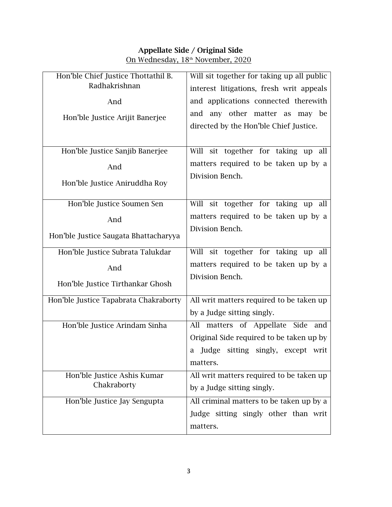### **Appellate Side / Original Side**

On Wednesday, 18<sup>th</sup> November, 2020

| Hon'ble Chief Justice Thottathil B.   | Will sit together for taking up all public |
|---------------------------------------|--------------------------------------------|
| Radhakrishnan                         | interest litigations, fresh writ appeals   |
| And                                   | and applications connected therewith       |
| Hon'ble Justice Arijit Banerjee       | and any other matter as may be             |
|                                       | directed by the Hon'ble Chief Justice.     |
|                                       |                                            |
| Hon'ble Justice Sanjib Banerjee       | sit together for taking up all<br>Will     |
| And                                   | matters required to be taken up by a       |
| Hon'ble Justice Aniruddha Roy         | Division Bench.                            |
|                                       |                                            |
| Hon'ble Justice Soumen Sen            | Will sit together for taking up all        |
| And                                   | matters required to be taken up by a       |
|                                       | Division Bench.                            |
| Hon'ble Justice Saugata Bhattacharyya |                                            |
| Hon'ble Justice Subrata Talukdar      | Will sit together for taking up all        |
| And                                   | matters required to be taken up by a       |
| Hon'ble Justice Tirthankar Ghosh      | Division Bench.                            |
|                                       |                                            |
| Hon'ble Justice Tapabrata Chakraborty | All writ matters required to be taken up   |
|                                       | by a Judge sitting singly.                 |
| Hon'ble Justice Arindam Sinha         | matters of Appellate Side<br>All<br>and    |
|                                       | Original Side required to be taken up by   |
|                                       | Judge sitting singly, except writ<br>a     |
|                                       | matters.                                   |
| Hon'ble Justice Ashis Kumar           | All writ matters required to be taken up   |
| Chakraborty                           | by a Judge sitting singly.                 |
| Hon'ble Justice Jay Sengupta          | All criminal matters to be taken up by a   |
|                                       | Judge sitting singly other than writ       |
|                                       | matters.                                   |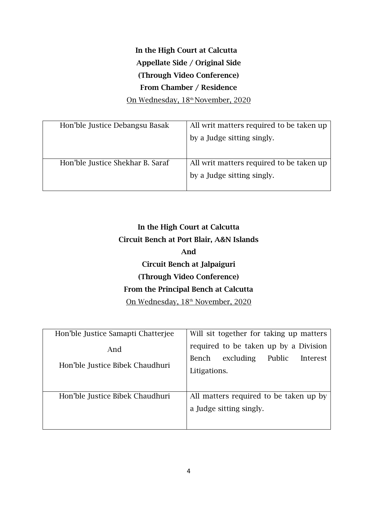# **In the High Court at Calcutta Appellate Side / Original Side (Through Video Conference) From Chamber / Residence**

On Wednesday, 18<sup>th</sup> November, 2020

| Hon'ble Justice Debangsu Basak   | All writ matters required to be taken up |
|----------------------------------|------------------------------------------|
|                                  | by a Judge sitting singly.               |
|                                  |                                          |
|                                  |                                          |
| Hon'ble Justice Shekhar B. Saraf | All writ matters required to be taken up |
|                                  | by a Judge sitting singly.               |
|                                  |                                          |

# **In the High Court at Calcutta Circuit Bench at Port Blair, A&N Islands And Circuit Bench at Jalpaiguri (Through Video Conference) From the Principal Bench at Calcutta** On Wednesday, 18<sup>th</sup> November, 2020

| Hon'ble Justice Samapti Chatterjee     | Will sit together for taking up matters                                                           |
|----------------------------------------|---------------------------------------------------------------------------------------------------|
| And<br>Hon'ble Justice Bibek Chaudhuri | required to be taken up by a Division<br>excluding<br>Public<br>Bench<br>Interest<br>Litigations. |
| Hon'ble Justice Bibek Chaudhuri        | All matters required to be taken up by<br>a Judge sitting singly.                                 |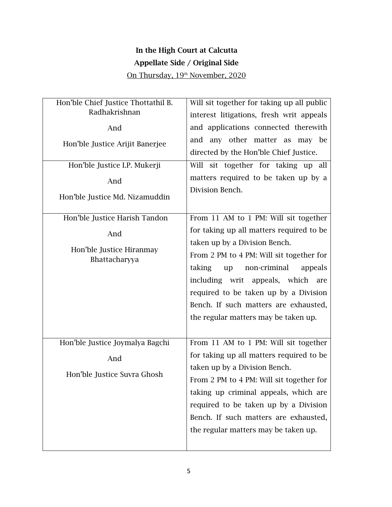### **In the High Court at Calcutta Appellate Side / Original Side**

On Thursday, 19<sup>th</sup> November, 2020

| Hon'ble Chief Justice Thottathil B. | Will sit together for taking up all public                                    |
|-------------------------------------|-------------------------------------------------------------------------------|
| Radhakrishnan                       | interest litigations, fresh writ appeals                                      |
| And                                 | and applications connected therewith                                          |
| Hon'ble Justice Arijit Banerjee     | and any other matter as may be<br>directed by the Hon'ble Chief Justice.      |
| Hon'ble Justice I.P. Mukerji        | Will sit together for taking up all                                           |
| And                                 | matters required to be taken up by a                                          |
| Hon'ble Justice Md. Nizamuddin      | Division Bench.                                                               |
| Hon'ble Justice Harish Tandon       | From 11 AM to 1 PM: Will sit together                                         |
| And                                 | for taking up all matters required to be                                      |
| Hon'ble Justice Hiranmay            | taken up by a Division Bench.                                                 |
| Bhattacharyya                       | From 2 PM to 4 PM: Will sit together for<br>taking<br>non-criminal<br>appeals |
|                                     | up<br>including writ appeals, which are                                       |
|                                     | required to be taken up by a Division                                         |
|                                     | Bench. If such matters are exhausted,                                         |
|                                     | the regular matters may be taken up.                                          |
|                                     |                                                                               |
| Hon'ble Justice Joymalya Bagchi     | From 11 AM to 1 PM: Will sit together                                         |
| And                                 | for taking up all matters required to be                                      |
| Hon'ble Justice Suvra Ghosh         | taken up by a Division Bench.                                                 |
|                                     | From 2 PM to 4 PM: Will sit together for                                      |
|                                     | taking up criminal appeals, which are                                         |
|                                     | required to be taken up by a Division                                         |
|                                     | Bench. If such matters are exhausted,                                         |
|                                     | the regular matters may be taken up.                                          |
|                                     |                                                                               |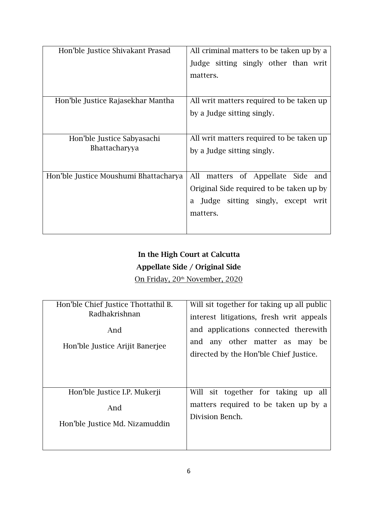| All criminal matters to be taken up by a   |
|--------------------------------------------|
| Judge sitting singly other than writ       |
| matters.                                   |
|                                            |
| All writ matters required to be taken up   |
| by a Judge sitting singly.                 |
|                                            |
| All writ matters required to be taken up   |
| by a Judge sitting singly.                 |
|                                            |
| All<br>matters of Appellate<br>Side<br>and |
| Original Side required to be taken up by   |
| Judge sitting singly, except<br>a<br>writ  |
| matters.                                   |
|                                            |
|                                            |

# **In the High Court at Calcutta Appellate Side / Original Side**

On Friday, 20<sup>th</sup> November, 2020

| Hon'ble Chief Justice Thottathil B.    | Will sit together for taking up all public                                                                          |
|----------------------------------------|---------------------------------------------------------------------------------------------------------------------|
| Radhakrishnan                          | interest litigations, fresh writ appeals                                                                            |
| And<br>Hon'ble Justice Arijit Banerjee | and applications connected therewith<br>any other matter as may be<br>and<br>directed by the Hon'ble Chief Justice. |
| Hon'ble Justice I.P. Mukerji           | Will sit together for taking up all                                                                                 |
| And                                    | matters required to be taken up by a                                                                                |
| Hon'ble Justice Md. Nizamuddin         | Division Bench.                                                                                                     |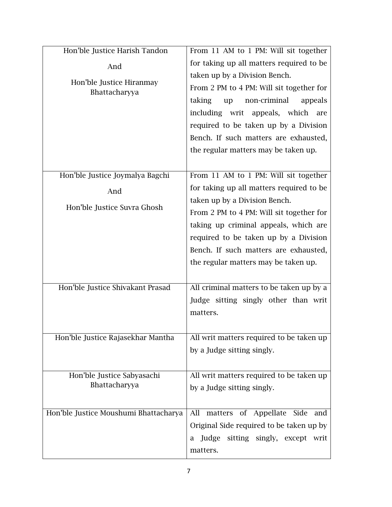| Hon'ble Justice Harish Tandon             | From 11 AM to 1 PM: Will sit together    |
|-------------------------------------------|------------------------------------------|
| And                                       | for taking up all matters required to be |
|                                           | taken up by a Division Bench.            |
| Hon'ble Justice Hiranmay<br>Bhattacharyya | From 2 PM to 4 PM: Will sit together for |
|                                           | taking<br>non-criminal<br>appeals<br>up  |
|                                           | including writ appeals, which are        |
|                                           | required to be taken up by a Division    |
|                                           | Bench. If such matters are exhausted,    |
|                                           | the regular matters may be taken up.     |
|                                           |                                          |
| Hon'ble Justice Joymalya Bagchi           | From 11 AM to 1 PM: Will sit together    |
| And                                       | for taking up all matters required to be |
|                                           | taken up by a Division Bench.            |
| Hon'ble Justice Suvra Ghosh               | From 2 PM to 4 PM: Will sit together for |
|                                           | taking up criminal appeals, which are    |
|                                           | required to be taken up by a Division    |
|                                           | Bench. If such matters are exhausted,    |
|                                           | the regular matters may be taken up.     |
|                                           |                                          |
| Hon'ble Justice Shivakant Prasad          | All criminal matters to be taken up by a |
|                                           | Judge sitting singly other than writ     |
|                                           | matters.                                 |
|                                           |                                          |
| Hon'ble Justice Rajasekhar Mantha         | All writ matters required to be taken up |
|                                           | by a Judge sitting singly.               |
|                                           |                                          |
| Hon'ble Justice Sabyasachi                | All writ matters required to be taken up |
| Bhattacharyya                             | by a Judge sitting singly.               |
|                                           |                                          |
| Hon'ble Justice Moushumi Bhattacharya     | All<br>matters of Appellate Side<br>and  |
|                                           | Original Side required to be taken up by |
|                                           | Judge sitting singly, except writ<br>a   |
|                                           | matters.                                 |